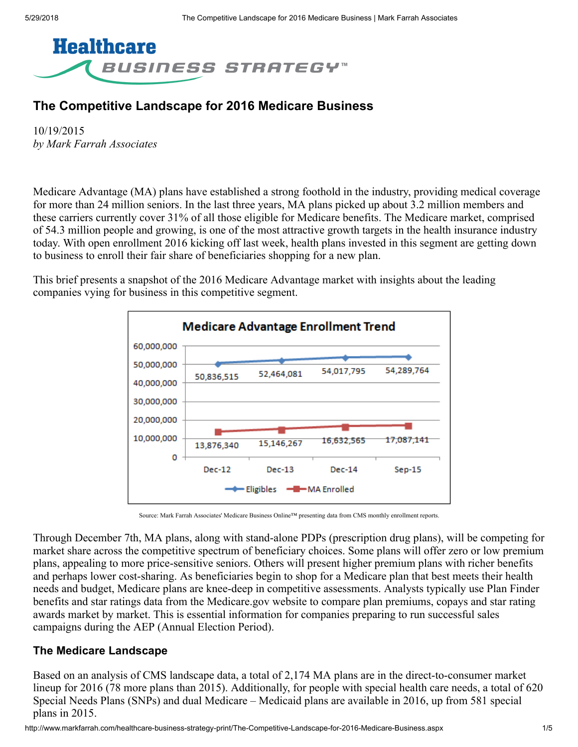

# The Competitive Landscape for 2016 Medicare Business

10/19/2015 *by Mark Farrah Associates*

Medicare Advantage (MA) plans have established a strong foothold in the industry, providing medical coverage for more than 24 million seniors. In the last three years, MA plans picked up about 3.2 million members and these carriers currently cover 31% of all those eligible for Medicare benefits. The Medicare market, comprised of 54.3 million people and growing, is one of the most attractive growth targets in the health insurance industry today. With open enrollment 2016 kicking off last week, health plans invested in this segment are getting down to business to enroll their fair share of beneficiaries shopping for a new plan.

This brief presents a snapshot of the 2016 Medicare Advantage market with insights about the leading companies vying for business in this competitive segment.



Source: Mark Farrah Associates' Medicare Business Online™ presenting data from CMS monthly enrollment reports.

Through December 7th, MA plans, along with stand-alone PDPs (prescription drug plans), will be competing for market share across the competitive spectrum of beneficiary choices. Some plans will offer zero or low premium plans, appealing to more price-sensitive seniors. Others will present higher premium plans with richer benefits and perhaps lower cost-sharing. As beneficiaries begin to shop for a Medicare plan that best meets their health needs and budget, Medicare plans are knee-deep in competitive assessments. Analysts typically use Plan Finder benefits and star ratings data from the Medicare.gov website to compare plan premiums, copays and star rating awards market by market. This is essential information for companies preparing to run successful sales campaigns during the AEP (Annual Election Period).

# The Medicare Landscape

Based on an analysis of CMS landscape data, a total of 2,174 MA plans are in the direct-to-consumer market lineup for 2016 (78 more plans than 2015). Additionally, for people with special health care needs, a total of 620 Special Needs Plans (SNPs) and dual Medicare – Medicaid plans are available in 2016, up from 581 special plans in 2015.

http://www.markfarrah.com/healthcare-business-strategy-print/The-Competitive-Landscape-for-2016-Medicare-Business.aspx 1/5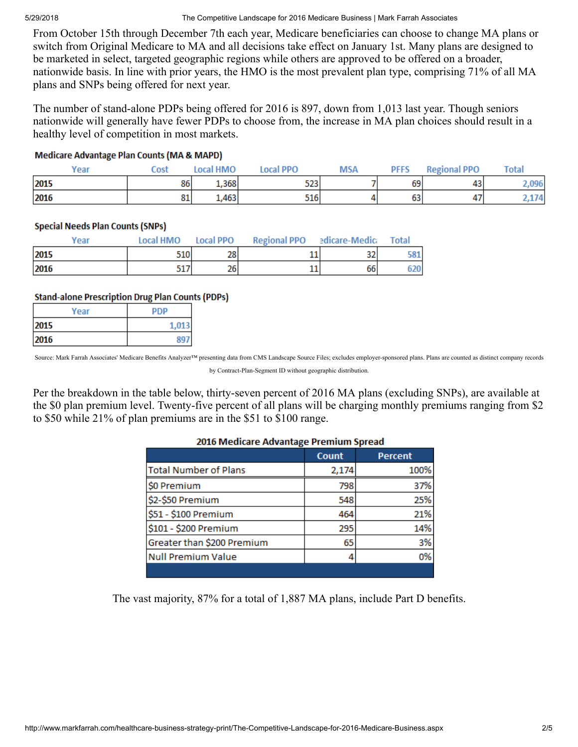From October 15th through December 7th each year, Medicare beneficiaries can choose to change MA plans or switch from Original Medicare to MA and all decisions take effect on January 1st. Many plans are designed to be marketed in select, targeted geographic regions while others are approved to be offered on a broader, nationwide basis. In line with prior years, the HMO is the most prevalent plan type, comprising 71% of all MA plans and SNPs being offered for next year.

The number of stand-alone PDPs being offered for 2016 is 897, down from 1,013 last year. Though seniors nationwide will generally have fewer PDPs to choose from, the increase in MA plan choices should result in a healthy level of competition in most markets.

#### **Medicare Advantage Plan Counts (MA & MAPD)**

| Year | Cost | Local HMO | Local PPO | <b>MSA</b> | <b>PFFS</b> | <b>Regional PPO</b> | <b>Total</b> |
|------|------|-----------|-----------|------------|-------------|---------------------|--------------|
| 2015 | 86   | 1,368     | 523       |            | 69          | 43                  |              |
| 2016 | 81   | 1,463     | 516       |            | 63          | 47                  | 17A          |

#### **Special Needs Plan Counts (SNPs)**

| Year | Local HMO | <b>Local PPO</b> | <b>Regional PPO</b> | edicare-Medic | Total      |
|------|-----------|------------------|---------------------|---------------|------------|
| 2015 | 510       | 28               |                     | 32            | 581        |
| 2016 | 517       | 26               |                     | 66            | <b>620</b> |

#### **Stand-alone Prescription Drug Plan Counts (PDPs)**

| Year | <b>PDP</b> |
|------|------------|
| 2015 | 1.013      |
| 2016 | ΩO         |

Source: Mark Farrah Associates' Medicare Benefits Analyzer™ presenting data from CMS Landscape Source Files; excludes employer-sponsored plans. Plans are counted as distinct company records

by Contract-Plan-Segment ID without geographic distribution.

Per the breakdown in the table below, thirty-seven percent of 2016 MA plans (excluding SNPs), are available at the \$0 plan premium level. Twenty-five percent of all plans will be charging monthly premiums ranging from \$2 to \$50 while 21% of plan premiums are in the \$51 to \$100 range.

| zolo iviedicale Advantage Premium Spread |       |                |  |  |
|------------------------------------------|-------|----------------|--|--|
|                                          | Count | <b>Percent</b> |  |  |
| <b>Total Number of Plans</b>             | 2,174 | 100%           |  |  |
| \$0 Premium                              | 798   | 37%            |  |  |
| \$2-\$50 Premium                         | 548   | 25%            |  |  |
| \$51 - \$100 Premium                     | 464   | 21%            |  |  |
| \$101 - \$200 Premium                    | 295   | 14%            |  |  |
| Greater than \$200 Premium               | 65    | 3%             |  |  |
| <b>Null Premium Value</b>                |       | 0%             |  |  |
|                                          |       |                |  |  |

### 2040 March Brown, Adventurer, Departurer Concert

The vast majority, 87% for a total of 1,887 MA plans, include Part D benefits.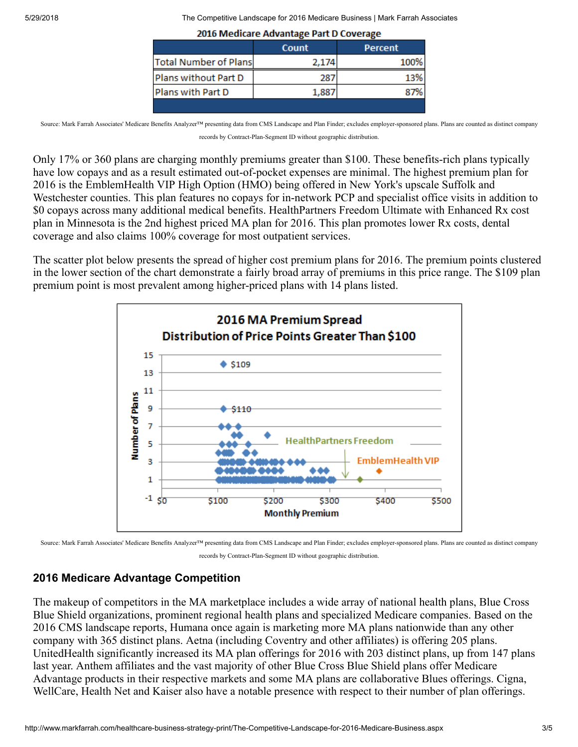| 2010 Micultule Auvulluge Full D coverage |              |         |  |  |
|------------------------------------------|--------------|---------|--|--|
|                                          | <b>Count</b> | Percent |  |  |
| <b>Total Number of Plans</b>             | 2,174        | 100%    |  |  |
| Plans without Part D                     | 287          |         |  |  |
| Plans with Part D                        | 1,887        |         |  |  |
|                                          |              |         |  |  |

2016 Medicare Advantage Part D Coverage

Source: Mark Farrah Associates' Medicare Benefits Analyzer™ presenting data from CMS Landscape and Plan Finder; excludes employer-sponsored plans. Plans are counted as distinct company records by Contract-Plan-Segment ID without geographic distribution.

Only 17% or 360 plans are charging monthly premiums greater than \$100. These benefits-rich plans typically have low copays and as a result estimated out-of-pocket expenses are minimal. The highest premium plan for 2016 is the EmblemHealth VIP High Option (HMO) being offered in New York's upscale Suffolk and Westchester counties. This plan features no copays for in-network PCP and specialist office visits in addition to \$0 copays across many additional medical benefits. HealthPartners Freedom Ultimate with Enhanced Rx cost plan in Minnesota is the 2nd highest priced MA plan for 2016. This plan promotes lower Rx costs, dental coverage and also claims 100% coverage for most outpatient services.

The scatter plot below presents the spread of higher cost premium plans for 2016. The premium points clustered in the lower section of the chart demonstrate a fairly broad array of premiums in this price range. The \$109 plan premium point is most prevalent among higher-priced plans with 14 plans listed.



Source: Mark Farrah Associates' Medicare Benefits Analyzer™ presenting data from CMS Landscape and Plan Finder; excludes employer-sponsored plans. Plans are counted as distinct company records by Contract-Plan-Segment ID without geographic distribution.

# 2016 Medicare Advantage Competition

The makeup of competitors in the MA marketplace includes a wide array of national health plans, Blue Cross Blue Shield organizations, prominent regional health plans and specialized Medicare companies. Based on the 2016 CMS landscape reports, Humana once again is marketing more MA plans nationwide than any other company with 365 distinct plans. Aetna (including Coventry and other affiliates) is offering 205 plans. UnitedHealth significantly increased its MA plan offerings for 2016 with 203 distinct plans, up from 147 plans last year. Anthem affiliates and the vast majority of other Blue Cross Blue Shield plans offer Medicare Advantage products in their respective markets and some MA plans are collaborative Blues offerings. Cigna, WellCare, Health Net and Kaiser also have a notable presence with respect to their number of plan offerings.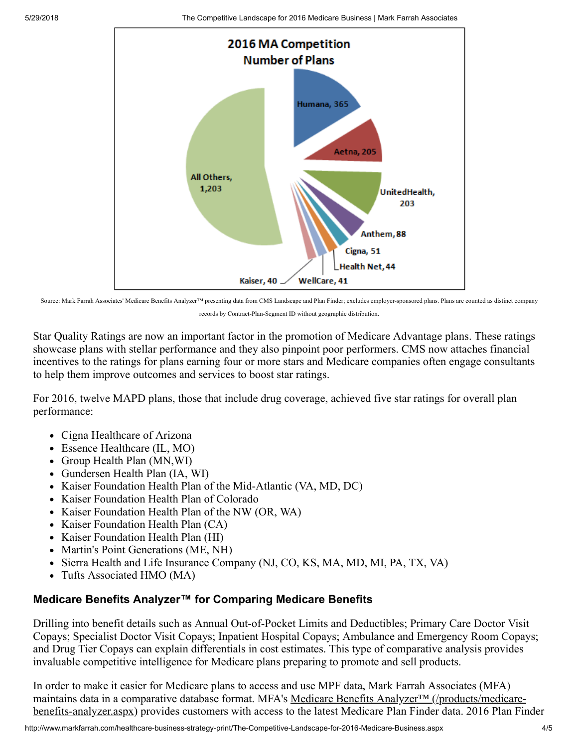

Source: Mark Farrah Associates' Medicare Benefits Analyzer™ presenting data from CMS Landscape and Plan Finder; excludes employer-sponsored plans. Plans are counted as distinct company records by Contract-Plan-Segment ID without geographic distribution.

Star Quality Ratings are now an important factor in the promotion of Medicare Advantage plans. These ratings showcase plans with stellar performance and they also pinpoint poor performers. CMS now attaches financial incentives to the ratings for plans earning four or more stars and Medicare companies often engage consultants to help them improve outcomes and services to boost star ratings.

For 2016, twelve MAPD plans, those that include drug coverage, achieved five star ratings for overall plan performance:

- Cigna Healthcare of Arizona
- Essence Healthcare (IL, MO)
- Group Health Plan (MN, WI)
- Gundersen Health Plan (IA, WI)
- Kaiser Foundation Health Plan of the Mid-Atlantic (VA, MD, DC)
- Kaiser Foundation Health Plan of Colorado
- Kaiser Foundation Health Plan of the NW (OR, WA)
- Kaiser Foundation Health Plan (CA)
- Kaiser Foundation Health Plan (HI)
- Martin's Point Generations (ME, NH)
- Sierra Health and Life Insurance Company (NJ, CO, KS, MA, MD, MI, PA, TX, VA)
- Tufts Associated HMO (MA)

# Medicare Benefits Analyzer™ for Comparing Medicare Benefits

Drilling into benefit details such as Annual Out-of-Pocket Limits and Deductibles; Primary Care Doctor Visit Copays; Specialist Doctor Visit Copays; Inpatient Hospital Copays; Ambulance and Emergency Room Copays; and Drug Tier Copays can explain differentials in cost estimates. This type of comparative analysis provides invaluable competitive intelligence for Medicare plans preparing to promote and sell products.

In order to make it easier for Medicare plans to access and use MPF data, Mark Farrah Associates (MFA) [maintains data in a comparative database format. MFA's Medicare Benefits Analyzer™ \(/products/medicare](http://www.markfarrah.com/products/medicare-benefits-analyzer.aspx)benefits-analyzer.aspx) provides customers with access to the latest Medicare Plan Finder data. 2016 Plan Finder